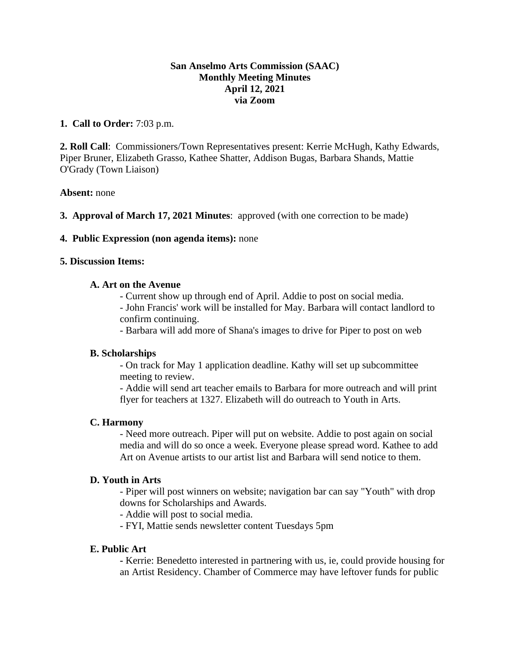## **San Anselmo Arts Commission (SAAC) Monthly Meeting Minutes April 12, 2021 via Zoom**

## **1. Call to Order:** 7:03 p.m.

**2. Roll Call**: Commissioners/Town Representatives present: Kerrie McHugh, Kathy Edwards, Piper Bruner, Elizabeth Grasso, Kathee Shatter, Addison Bugas, Barbara Shands, Mattie O'Grady (Town Liaison)

### **Absent:** none

**3. Approval of March 17, 2021 Minutes**: approved (with one correction to be made)

## **4. Public Expression (non agenda items):** none

### **5. Discussion Items:**

## **A. Art on the Avenue**

- Current show up through end of April. Addie to post on social media.

- John Francis' work will be installed for May. Barbara will contact landlord to confirm continuing.

- Barbara will add more of Shana's images to drive for Piper to post on web

# **B. Scholarships**

- On track for May 1 application deadline. Kathy will set up subcommittee meeting to review.

- Addie will send art teacher emails to Barbara for more outreach and will print flyer for teachers at 1327. Elizabeth will do outreach to Youth in Arts.

### **C. Harmony**

- Need more outreach. Piper will put on website. Addie to post again on social media and will do so once a week. Everyone please spread word. Kathee to add Art on Avenue artists to our artist list and Barbara will send notice to them.

## **D. Youth in Arts**

- Piper will post winners on website; navigation bar can say "Youth" with drop downs for Scholarships and Awards.

- Addie will post to social media.

- FYI, Mattie sends newsletter content Tuesdays 5pm

### **E. Public Art**

**-** Kerrie: Benedetto interested in partnering with us, ie, could provide housing for an Artist Residency. Chamber of Commerce may have leftover funds for public